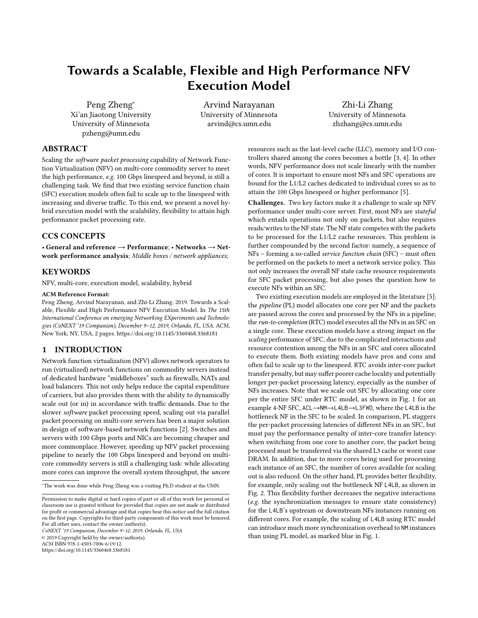# Towards a Scalable, Flexible and High Performance NFV Execution Model

Peng Zheng<sup>∗</sup> Xi'an Jiaotong University University of Minnesota pzheng@umn.edu

Arvind Narayanan University of Minnesota arvind@cs.umn.edu

Zhi-Li Zhang University of Minnesota zhzhang@cs.umn.edu

# ABSTRACT

Scaling the software packet processing capability of Network Function Virtualization (NFV) on multi-core commodity server to meet the high performance, e.g. 100 Gbps linespeed and beyond, is still a challenging task. We find that two existing service function chain (SFC) execution models often fail to scale up to the linespeed with increasing and diverse traffic. To this end, we present a novel hybrid execution model with the scalability, flexibility to attain high performance packet processing rate.

# CCS CONCEPTS

• General and reference  $\rightarrow$  Performance; • Networks  $\rightarrow$  Network performance analysis; Middle boxes / network appliances;

## **KEYWORDS**

NFV, multi-core, execution model, scalability, hybrid

#### ACM Reference Format:

Peng Zheng, Arvind Narayanan, and Zhi-Li Zhang. 2019. Towards a Scalable, Flexible and High Performance NFV Execution Model. In The 15th International Conference on emerging Networking EXperiments and Technologies (CoNEXT '19 Companion), December 9–12, 2019, Orlando, FL, USA. ACM, New York, NY, USA, [2](#page-1-0) pages.<https://doi.org/10.1145/3360468.3368181>

# 1 INTRODUCTION

Network function virtualization (NFV) allows network operators to run (virtualized) network functions on commodity servers instead of dedicated hardware "middleboxes" such as firewalls, NATs and load balancers. This not only helps reduce the capital expenditure of carriers, but also provides them with the ability to dynamically scale out (or in) in accordance with traffic demands. Due to the slower software packet processing speed, scaling out via parallel packet processing on multi-core servers has been a major solution in design of software-based network functions [\[2\]](#page-1-1). Switches and servers with 100 Gbps ports and NICs are becoming cheaper and more commonplace. However, speeding up NFV packet processing pipeline to nearly the 100 Gbps linespeed and beyond on multicore commodity servers is still a challenging task: while allocating more cores can improve the overall system throughput, the uncore

<sup>∗</sup>The work was done while Peng Zheng was a visiting Ph.D student at the UMN.

CoNEXT '19 Companion, December 9–12, 2019, Orlando, FL, USA

© 2019 Copyright held by the owner/author(s).

ACM ISBN 978-1-4503-7006-6/19/12.

<https://doi.org/10.1145/3360468.3368181>

resources such as the last-level cache (LLC), memory and I/O controllers shared among the cores becomes a bottle [\[3,](#page-1-2) [4\]](#page-1-3). In other words, NFV performance does not scale linearly with the number of cores. It is important to ensure most NFs and SFC operations are bound for the L1/L2 caches dedicated to individual cores so as to attain the 100 Gbps linespeed or higher performance [\[5\]](#page-1-4).

Challenges. Two key factors make it a challenge to scale up NFV performance under multi-core server. First, most NFs are stateful which entails operations not only on packets, but also requires reads/writes to the NF state. The NF state competes with the packets to be processed for the L1/L2 cache resources. This problem is further compounded by the second factor: namely, a sequence of NFs – forming a so-called service function chain (SFC) – must often be performed on the packets to meet a network service policy. This not only increases the overall NF state cache resource requirements for SFC packet processing, but also poses the question how to execute NFs within an SFC.

Two existing execution models are employed in the literature [\[5\]](#page-1-4): the pipeline (PL) model allocates one core per NF and the packets are passed across the cores and processed by the NFs in a pipeline; the run-to-completion (RTC) model executes all the NFs in an SFC on a single core. These execution models have a strong impact on the scaling performance of SFC, due to the complicated interactions and resource contention among the NFs in an SFC and cores allocated to execute them. Both existing models have pros and cons and often fail to scale up to the linespeed. RTC avoids inter-core packet transfer penalty, but may suffer poorer cache locality and potentially longer per-packet processing latency, especially as the number of NFs increases. Note that we scale out SFC by allocating one core per the entire SFC under RTC model, as shown in Fig. [1](#page-1-5) for an example 4-NF SFC, ACL→NM→L4LB→L3FWD, where the L4LB is the bottleneck NF in the SFC to be scaled. In comparison, PL staggers the per-packet processing latencies of different NFs in an SFC, but must pay the performance penalty of inter-core transfer latency: when switching from one core to another core, the packet being processed must be transferred via the shared L3 cache or worst case DRAM. In addition, due to more cores being used for processing each instance of an SFC, the number of cores available for scaling out is also reduced. On the other hand, PL provides better flexibility, for example, only scaling out the bottleneck NF L4LB, as shown in Fig. [2.](#page-1-5) This flexibility further decreases the negative interactions (e.g. the synchronization messages to ensure state consistency) for the L4LB's upstream or downstream NFs instances running on different cores. For example, the scaling of L4LB using RTC model can introduce much more synchronization overhead to NM instances than using PL model, as marked blue in Fig. [1.](#page-1-5)

Permission to make digital or hard copies of part or all of this work for personal or classroom use is granted without fee provided that copies are not made or distributed for profit or commercial advantage and that copies bear this notice and the full citation on the first page. Copyrights for third-party components of this work must be honored. For all other uses, contact the owner/author(s).